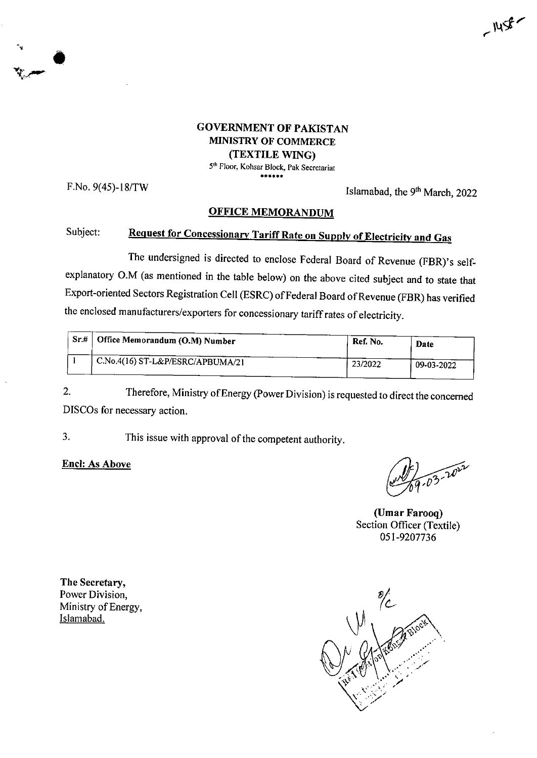

5th Floor, Kohsar Block, Pak Secretariat \*\*\*\*\*

**•v**

F.No.  $9(45)$ -18/TW Islamabad, the  $9<sup>th</sup> March, 2022$ 

 $-1458$ 

## **OFFICE MEMORANDUM**

## Subject: Request for Concessionary Tariff Rate on Supply of Electricity and Gas

The undersigned is directed to enclose Federal Board of Revenue (FBR)'s selfexplanatory O.M (as mentioned in the table below) on the above cited subject and to state that Export-oriented Sectors Registration Cell (ESRC) ofFederal Board ofRevenue (FBR) has verified the enclosed manufacturers/exporters for concessionary tariff rates of electricity.

| Sr# | Office Memorandum (O.M) Number   | Ref. No. | Date       |
|-----|----------------------------------|----------|------------|
|     | C.No.4(16) ST-L&P/ESRC/APBUMA/21 | 23/2022  | 09-03-2022 |

2. Therefore, Ministry ofEnergy (PowerDivision) isrequested to direct the concerned DISCOs for necessary action.

3. This issue with approval of the competent authority.

**Enel: As Above**

03-2022

**(Umar Farooq)** Section Officer (Textile) 051-9207736

**The Secretary,** Power Division, Ministry of Energy, Islamabad.